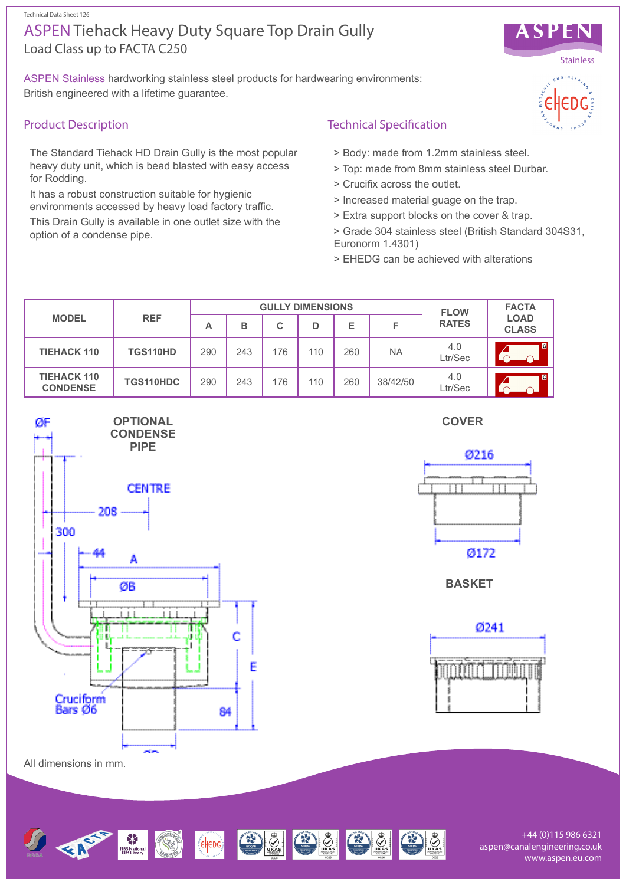#### Technical Data Sheet 126

# Load Class up to FACTA C250 ASPEN Tiehack Heavy Duty Square Top Drain Gully

ASPEN Stainless hardworking stainless steel products for hardwearing environments: British engineered with a lifetime guarantee.

## Product Description

The Standard Tiehack HD Drain Gully is the most popular heavy duty unit, which is bead blasted with easy access for Rodding.

It has a robust construction suitable for hygienic environments accessed by heavy load factory traffic.

This Drain Gully is available in one outlet size with the option of a condense pipe.

### Technical Specification

- > Body: made from 1.2mm stainless steel.
- > Top: made from 8mm stainless steel Durbar.
- > Crucifix across the outlet.
- > Increased material guage on the trap.
- > Extra support blocks on the cover & trap.
- > Grade 304 stainless steel (British Standard 304S31, Euronorm 1.4301)
- > EHEDG can be achieved with alterations

| <b>MODEL</b>                          | <b>REF</b> | <b>GULLY DIMENSIONS</b> |     |     |     |     |           | <b>FLOW</b>    | <b>FACTA</b>                |
|---------------------------------------|------------|-------------------------|-----|-----|-----|-----|-----------|----------------|-----------------------------|
|                                       |            | А                       | в   | C   | D   | E   | F         | <b>RATES</b>   | <b>LOAD</b><br><b>CLASS</b> |
| <b>TIEHACK 110</b>                    | TGS110HD   | 290                     | 243 | 176 | 110 | 260 | <b>NA</b> | 4.0<br>Ltr/Sec | <b>CI</b>                   |
| <b>TIEHACK 110</b><br><b>CONDENSE</b> | TGS110HDC  | 290                     | 243 | 176 | 110 | 260 | 38/42/50  | 4.0<br>Ltr/Sec | /cl                         |







**BASKET**



All dimensions in mm.



+44 (0)115 986 6321 aspen@canalengineering.co.uk www.aspen.eu.com



ASPEN